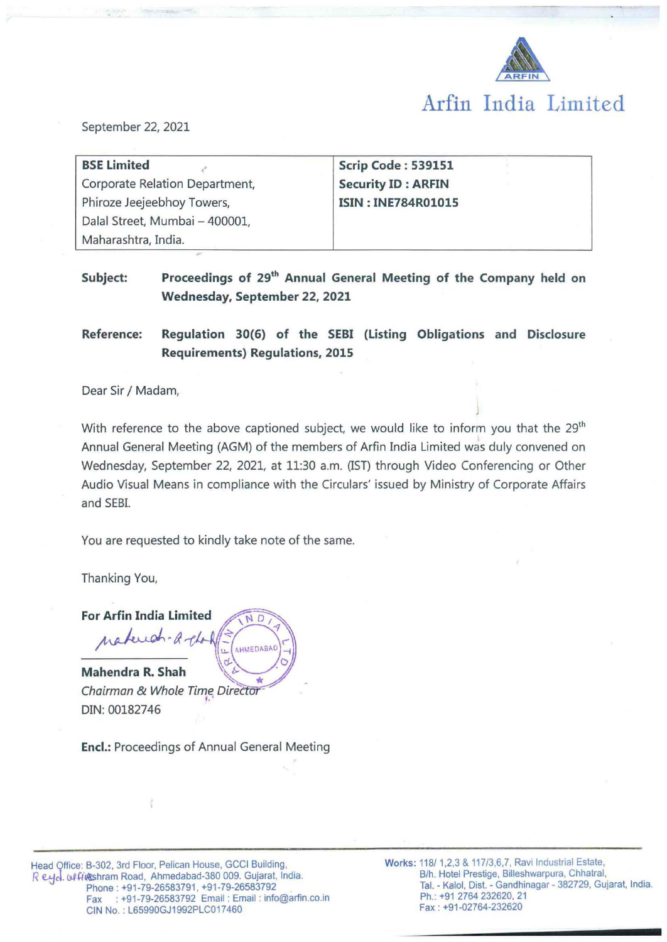

September 22, 2021

| <b>BSE Limited</b>             | <b>Scrip Code: 539151</b> |
|--------------------------------|---------------------------|
| Corporate Relation Department, | <b>Security ID: ARFIN</b> |
| Phiroze Jeejeebhoy Towers,     | <b>ISIN: INE784R01015</b> |
| Dalal Street, Mumbai - 400001, |                           |
| Maharashtra, India.            |                           |

Subject: Proceedings of 29<sup>th</sup> Annual General Meeting of the Company held on **Wednesday, September 22, 2021** 

**Reference: Regulation 30(6) of the SEBI (Listing Obligations and Disclosure Requirements) Regulations, 2015** 

Dear Sir / Madam,

With reference to the above captioned subject, we would like to inform you that the 29<sup>th</sup> Annual General Meeting (AGM) of the members of Arfin India Limited was duly convened on Wednesday, September 22, 2021, at 11:30 a.m. (IST) through Video Conferencing or Other Audio Visual Means in compliance with the Circulars' issued by Ministry of Corporate Affairs and SEBI.

You are requested to kindly take note of the same.

Thanking You,

**For Arfin India Limited** N D natural AHMEDABA

Mahendra R. Shah Chairman & Whole Time Director DIN: 00182746

**Encl.:** Proceedings of Annual General Meeting

Head Qffice: B-302, 3rd Floor, Pelican House, GCCI Building, R eyd. clfikshram Road, Ahmedabad-380 009. Gujarat, India. Phone: +91-79-26583791, +91 -79-26583792 Fax : +91-79-26583792 Email : Email : info@arfin.co.in CIN No.: L65990GJ1992PLC017460

Works: 118/ 1,2,3 & 117/3,6,7, Ravi Industrial Estate, B/h. Hotel Prestige, Billeshwarpura, Chhatral, Tai. - Kaloi, Dist. - Gandhinagar - 382729, Gujarat, India. Ph.: +91 2764 232620, 21 Fax : +91-02764-232620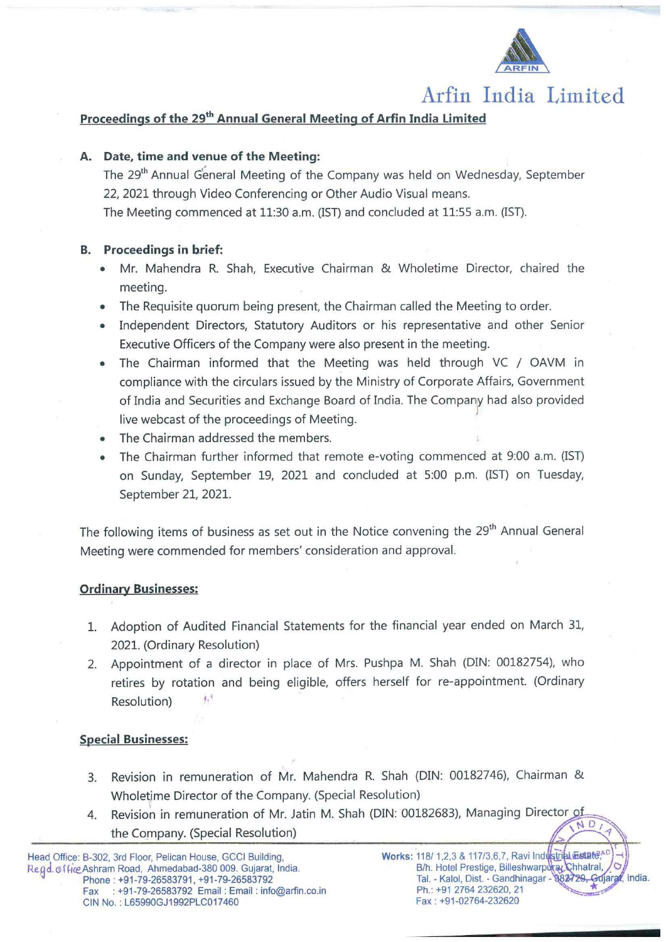

# **Arfin India Limited**

## Proceedings of the 29<sup>th</sup> Annual General Meeting of Arfin India Limited

## **A. Date, time and venue of the Meeting:**

The 29<sup>th</sup> Annual General Meeting of the Company was held on Wednesday, September 22, 2021 through Video Conferencing or Other Audio Visual means. The Meeting commenced at 11:30 a.m. (!ST) and concluded at 11:55 a.m. (IST).

## **B. Proceedings in brief:**

- Mr. Mahendra R. Shah, Executive Chairman & Wholetime Director, chaired the meeting.
- The Requisite quorum being present, the Chairman called the Meeting to order.
- Independent Directors, Statutory Auditors or his representative and other Senior Executive Officers of the Company were also present in the meeting.
- The Chairman informed that the Meeting was held through VC / OAVM in compliance with the circulars issued by the Ministry of Corporate Affairs, Government of India and Securities and Exchange Board of India. The Company had also provided \ live webcast of the proceedings of Meeting.
- The Chairman addressed the members.
- The Chairman further informed that remote e-voting commenced at 9:00 a.m. (IST) on Sunday, September 19, 2021 and concluded at 5:00 p.m. (!ST) on Tuesday, September 21, 2021.

The following items of business as set out in the Notice convening the 29<sup>th</sup> Annual General Meeting were commended for members' consideration and approval.

#### **Ordinary Businesses:**

- 1. Adoption of Audited Financial Statements for the financial year ended on March 31, 2021. (Ordinary Resolution)
- 2. Appointment of a director in place of Mrs. Pushpa M. Shah (DIN: 00182754), who retires by rotation and being eligible, offers herself for re-appointment. (Ordinary Resolution)

#### **Special Businesses:**

- 3. Revision in remuneration of Mr. Mahendra R. Shah (DIN: 00182746), Chairman & Wholetime Director of the Company. {Special Resolution)
- 4. Revision in remuneration of Mr. Jatin M. Shah (DIN: 00182683), Managing Director of the Company. (Special Resolution)

 $\mathcal{F}$